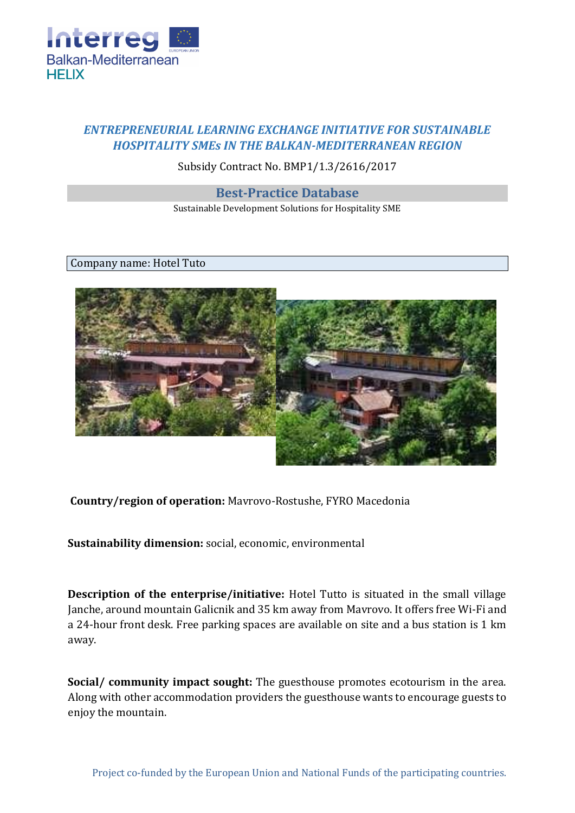

## *ENTREPRENEURIAL LEARNING EXCHANGE INITIATIVE FOR SUSTAINABLE HOSPITALITY SMEs IN THE BALKAN-MEDITERRANEAN REGION*

Subsidy Contract No. BMP1/1.3/2616/2017

**Best-Practice Database**

Sustainable Development Solutions for Hospitality SME

Company name: Hotel Tuto



**Country/region of operation:** Mavrovo-Rostushe, FYRO Macedonia

**Sustainability dimension:** social, economic, environmental

**Description of the enterprise/initiative:** Hotel Tutto is situated in the small village Janche, around mountain Galicnik and 35 km away from Mavrovo. It offers free Wi-Fi and a 24-hour front desk. Free parking spaces are available on site and a bus station is 1 km away.

**Social/ community impact sought:** The guesthouse promotes ecotourism in the area. Along with other accommodation providers the guesthouse wants to encourage guests to enjoy the mountain.